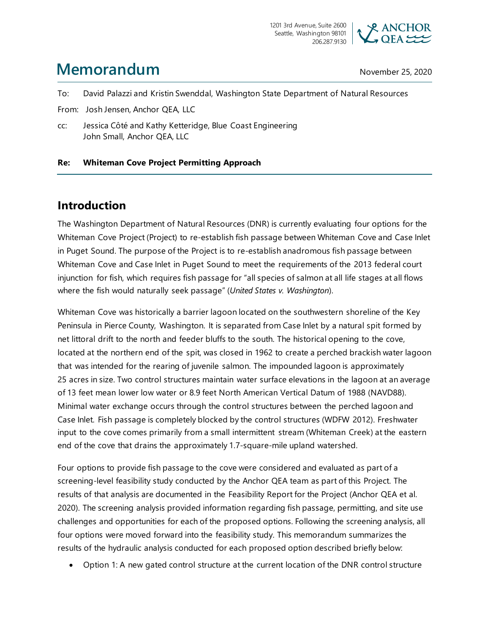

# **Memorandum** November 25, 2020

To: David Palazzi and Kristin Swenddal, Washington State Department of Natural Resources

From: Josh Jensen, Anchor QEA, LLC

cc: Jessica Côté and Kathy Ketteridge, Blue Coast Engineering John Small, Anchor QEA, LLC

#### **Re: Whiteman Cove Project Permitting Approach**

## **Introduction**

The Washington Department of Natural Resources (DNR) is currently evaluating four options for the Whiteman Cove Project (Project) to re-establish fish passage between Whiteman Cove and Case Inlet in Puget Sound. The purpose of the Project is to re-establish anadromous fish passage between Whiteman Cove and Case Inlet in Puget Sound to meet the requirements of the 2013 federal court injunction for fish, which requires fish passage for "all species of salmon at all life stages at all flows where the fish would naturally seek passage" (*United States v. Washington*).

Whiteman Cove was historically a barrier lagoon located on the southwestern shoreline of the Key Peninsula in Pierce County, Washington. It is separated from Case Inlet by a natural spit formed by net littoral drift to the north and feeder bluffs to the south. The historical opening to the cove, located at the northern end of the spit, was closed in 1962 to create a perched brackish water lagoon that was intended for the rearing of juvenile salmon. The impounded lagoon is approximately 25 acres in size. Two control structures maintain water surface elevations in the lagoon at an average of 13 feet mean lower low water or 8.9 feet North American Vertical Datum of 1988 (NAVD88). Minimal water exchange occurs through the control structures between the perched lagoon and Case Inlet. Fish passage is completely blocked by the control structures (WDFW 2012). Freshwater input to the cove comes primarily from a small intermittent stream (Whiteman Creek) at the eastern end of the cove that drains the approximately 1.7-square-mile upland watershed.

Four options to provide fish passage to the cove were considered and evaluated as part of a screening-level feasibility study conducted by the Anchor QEA team as part of this Project. The results of that analysis are documented in the Feasibility Report for the Project (Anchor QEA et al. 2020). The screening analysis provided information regarding fish passage, permitting, and site use challenges and opportunities for each of the proposed options. Following the screening analysis, all four options were moved forward into the feasibility study. This memorandum summarizes the results of the hydraulic analysis conducted for each proposed option described briefly below:

• Option 1: A new gated control structure at the current location of the DNR control structure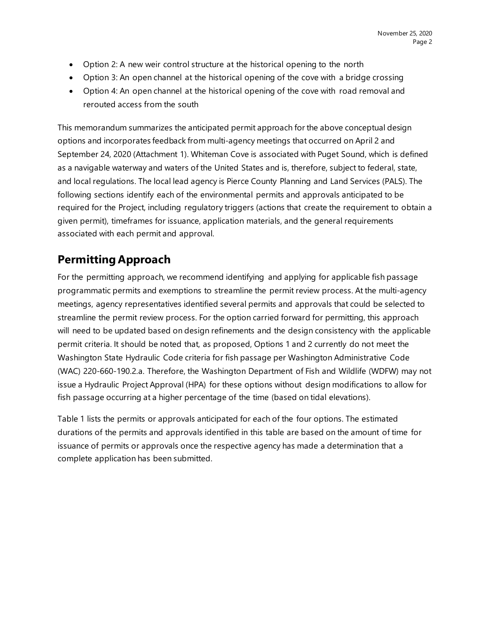- Option 2: A new weir control structure at the historical opening to the north
- Option 3: An open channel at the historical opening of the cove with a bridge crossing
- Option 4: An open channel at the historical opening of the cove with road removal and rerouted access from the south

This memorandum summarizes the anticipated permit approach for the above conceptual design options and incorporates feedback from multi-agency meetings that occurred on April 2 and September 24, 2020 (Attachment 1). Whiteman Cove is associated with Puget Sound, which is defined as a navigable waterway and waters of the United States and is, therefore, subject to federal, state, and local regulations. The local lead agency is Pierce County Planning and Land Services (PALS). The following sections identify each of the environmental permits and approvals anticipated to be required for the Project, including regulatory triggers (actions that create the requirement to obtain a given permit), timeframes for issuance, application materials, and the general requirements associated with each permit and approval.

# **Permitting Approach**

For the permitting approach, we recommend identifying and applying for applicable fish passage programmatic permits and exemptions to streamline the permit review process. At the multi-agency meetings, agency representatives identified several permits and approvals that could be selected to streamline the permit review process. For the option carried forward for permitting, this approach will need to be updated based on design refinements and the design consistency with the applicable permit criteria. It should be noted that, as proposed, Options 1 and 2 currently do not meet the Washington State Hydraulic Code criteria for fish passage per Washington Administrative Code (WAC) 220-660-190.2.a. Therefore, the Washington Department of Fish and Wildlife (WDFW) may not issue a Hydraulic Project Approval (HPA) for these options without design modifications to allow for fish passage occurring at a higher percentage of the time (based on tidal elevations).

Table 1 lists the permits or approvals anticipated for each of the four options. The estimated durations of the permits and approvals identified in this table are based on the amount of time for issuance of permits or approvals once the respective agency has made a determination that a complete application has been submitted.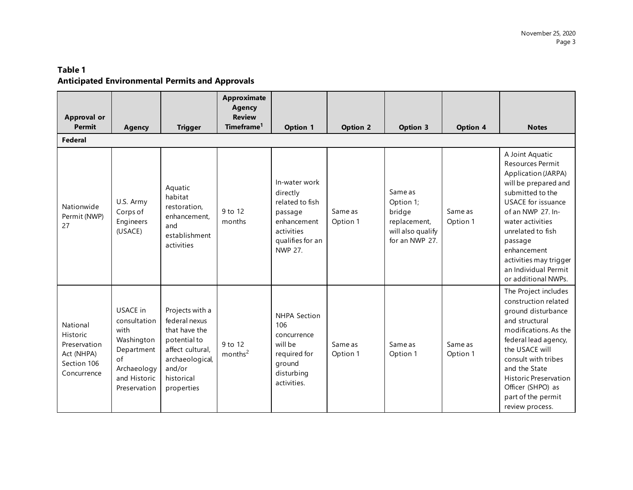#### **Table 1 Anticipated Environmental Permits and Approvals**

| <b>Approval or</b><br><b>Permit</b>                                              | <b>Agency</b>                                                                                                     | <b>Trigger</b>                                                                                                                                 | Approximate<br><b>Agency</b><br><b>Review</b><br>Timeframe <sup>1</sup> | <b>Option 1</b>                                                                                                     | <b>Option 2</b>     | <b>Option 3</b>                                                                       | Option 4            | <b>Notes</b>                                                                                                                                                                                                                                                                                         |
|----------------------------------------------------------------------------------|-------------------------------------------------------------------------------------------------------------------|------------------------------------------------------------------------------------------------------------------------------------------------|-------------------------------------------------------------------------|---------------------------------------------------------------------------------------------------------------------|---------------------|---------------------------------------------------------------------------------------|---------------------|------------------------------------------------------------------------------------------------------------------------------------------------------------------------------------------------------------------------------------------------------------------------------------------------------|
| Federal                                                                          |                                                                                                                   |                                                                                                                                                |                                                                         |                                                                                                                     |                     |                                                                                       |                     |                                                                                                                                                                                                                                                                                                      |
| Nationwide<br>Permit (NWP)<br>27                                                 | U.S. Army<br>Corps of<br>Engineers<br>(USACE)                                                                     | Aquatic<br>habitat<br>restoration.<br>enhancement.<br>and<br>establishment<br>activities                                                       | 9 to 12<br>months                                                       | In-water work<br>directly<br>related to fish<br>passage<br>enhancement<br>activities<br>qualifies for an<br>NWP 27. | Same as<br>Option 1 | Same as<br>Option 1;<br>bridge<br>replacement,<br>will also qualify<br>for an NWP 27. | Same as<br>Option 1 | A Joint Aquatic<br>Resources Permit<br>Application (JARPA)<br>will be prepared and<br>submitted to the<br><b>USACE</b> for issuance<br>of an NWP 27. In-<br>water activities<br>unrelated to fish<br>passage<br>enhancement<br>activities may trigger<br>an Individual Permit<br>or additional NWPs. |
| National<br>Historic<br>Preservation<br>Act (NHPA)<br>Section 106<br>Concurrence | USACE in<br>consultation<br>with<br>Washington<br>Department<br>of<br>Archaeology<br>and Historic<br>Preservation | Projects with a<br>federal nexus<br>that have the<br>potential to<br>affect cultural,<br>archaeological,<br>and/or<br>historical<br>properties | 9 to 12<br>months <sup>2</sup>                                          | <b>NHPA Section</b><br>106<br>concurrence<br>will be<br>required for<br>ground<br>disturbing<br>activities.         | Same as<br>Option 1 | Same as<br>Option 1                                                                   | Same as<br>Option 1 | The Project includes<br>construction related<br>ground disturbance<br>and structural<br>modifications. As the<br>federal lead agency,<br>the USACE will<br>consult with tribes<br>and the State<br><b>Historic Preservation</b><br>Officer (SHPO) as<br>part of the permit<br>review process.        |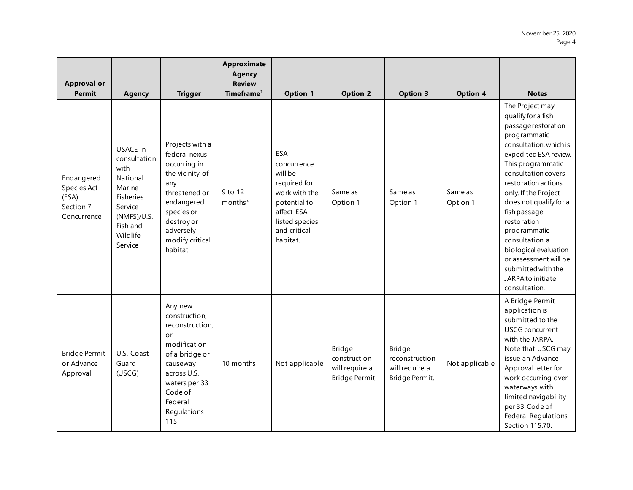| <b>Approval or</b><br><b>Permit</b>                            | <b>Agency</b>                                                                                                                    | <b>Trigger</b>                                                                                                                                                                   | <b>Approximate</b><br><b>Agency</b><br><b>Review</b><br>Timeframe <sup>1</sup> | <b>Option 1</b>                                                                                                                                    | <b>Option 2</b>                                            | <b>Option 3</b>                                              | <b>Option 4</b>     | <b>Notes</b>                                                                                                                                                                                                                                                                                                                                                                                                                         |
|----------------------------------------------------------------|----------------------------------------------------------------------------------------------------------------------------------|----------------------------------------------------------------------------------------------------------------------------------------------------------------------------------|--------------------------------------------------------------------------------|----------------------------------------------------------------------------------------------------------------------------------------------------|------------------------------------------------------------|--------------------------------------------------------------|---------------------|--------------------------------------------------------------------------------------------------------------------------------------------------------------------------------------------------------------------------------------------------------------------------------------------------------------------------------------------------------------------------------------------------------------------------------------|
| Endangered<br>Species Act<br>(ESA)<br>Section 7<br>Concurrence | USACE in<br>consultation<br>with<br>National<br>Marine<br>Fisheries<br>Service<br>(NMFS)/U.S.<br>Fish and<br>Wildlife<br>Service | Projects with a<br>federal nexus<br>occurring in<br>the vicinity of<br>any<br>threatened or<br>endangered<br>species or<br>destroy or<br>adversely<br>modify critical<br>habitat | 9 to 12<br>months*                                                             | <b>ESA</b><br>concurrence<br>will be<br>required for<br>work with the<br>potential to<br>affect ESA-<br>listed species<br>and critical<br>habitat. | Same as<br>Option 1                                        | Same as<br>Option 1                                          | Same as<br>Option 1 | The Project may<br>qualify for a fish<br>passage restoration<br>programmatic<br>consultation, which is<br>expedited ESA review.<br>This programmatic<br>consultation covers<br>restoration actions<br>only. If the Project<br>does not qualify for a<br>fish passage<br>restoration<br>programmatic<br>consultation, a<br>biological evaluation<br>or assessment will be<br>submitted with the<br>JARPA to initiate<br>consultation. |
| <b>Bridge Permit</b><br>or Advance<br>Approval                 | U.S. Coast<br>Guard<br>(USCG)                                                                                                    | Any new<br>construction,<br>reconstruction,<br>or<br>modification<br>of a bridge or<br>causeway<br>across U.S.<br>waters per 33<br>Code of<br>Federal<br>Regulations<br>115      | 10 months                                                                      | Not applicable                                                                                                                                     | Bridge<br>construction<br>will require a<br>Bridge Permit. | Bridge<br>reconstruction<br>will require a<br>Bridge Permit. | Not applicable      | A Bridge Permit<br>application is<br>submitted to the<br><b>USCG</b> concurrent<br>with the JARPA.<br>Note that USCG may<br>issue an Advance<br>Approval letter for<br>work occurring over<br>waterways with<br>limited navigability<br>per 33 Code of<br><b>Federal Regulations</b><br>Section 115.70.                                                                                                                              |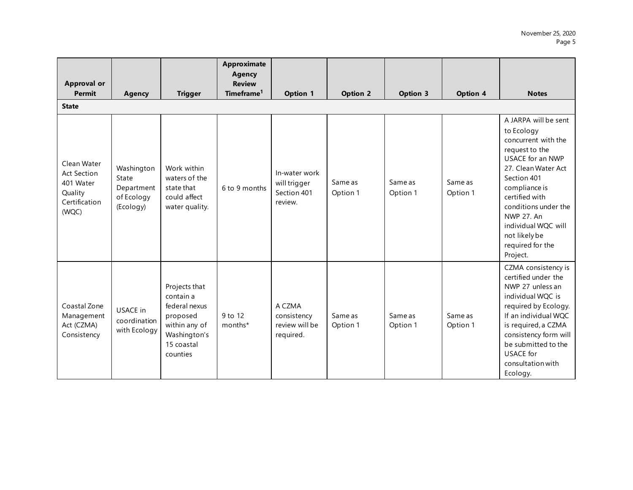| <b>Approval or</b><br><b>Permit</b>                                                 | <b>Agency</b>                                                | <b>Trigger</b>                                                                                                     | <b>Approximate</b><br><b>Agency</b><br><b>Review</b><br>Timeframe <sup>1</sup> | <b>Option 1</b>                                         | <b>Option 2</b>     | <b>Option 3</b>     | <b>Option 4</b>     | <b>Notes</b>                                                                                                                                                                                                                                                                           |
|-------------------------------------------------------------------------------------|--------------------------------------------------------------|--------------------------------------------------------------------------------------------------------------------|--------------------------------------------------------------------------------|---------------------------------------------------------|---------------------|---------------------|---------------------|----------------------------------------------------------------------------------------------------------------------------------------------------------------------------------------------------------------------------------------------------------------------------------------|
| <b>State</b>                                                                        |                                                              |                                                                                                                    |                                                                                |                                                         |                     |                     |                     |                                                                                                                                                                                                                                                                                        |
| Clean Water<br><b>Act Section</b><br>401 Water<br>Quality<br>Certification<br>(WQC) | Washington<br>State<br>Department<br>of Ecology<br>(Ecology) | Work within<br>waters of the<br>state that<br>could affect<br>water quality.                                       | 6 to 9 months                                                                  | In-water work<br>will trigger<br>Section 401<br>review. | Same as<br>Option 1 | Same as<br>Option 1 | Same as<br>Option 1 | A JARPA will be sent<br>to Ecology<br>concurrent with the<br>request to the<br>USACE for an NWP<br>27. Clean Water Act<br>Section 401<br>compliance is<br>certified with<br>conditions under the<br>NWP 27. An<br>individual WQC will<br>not likely be<br>required for the<br>Project. |
| Coastal Zone<br>Management<br>Act (CZMA)<br>Consistency                             | USACE in<br>coordination<br>with Ecology                     | Projects that<br>contain a<br>federal nexus<br>proposed<br>within any of<br>Washington's<br>15 coastal<br>counties | 9 to 12<br>months*                                                             | A CZMA<br>consistency<br>review will be<br>required.    | Same as<br>Option 1 | Same as<br>Option 1 | Same as<br>Option 1 | CZMA consistency is<br>certified under the<br>NWP 27 unless an<br>individual WOC is<br>required by Ecology.<br>If an individual WQC<br>is required, a CZMA<br>consistency form will<br>be submitted to the<br>USACE for<br>consultation with<br>Ecology.                               |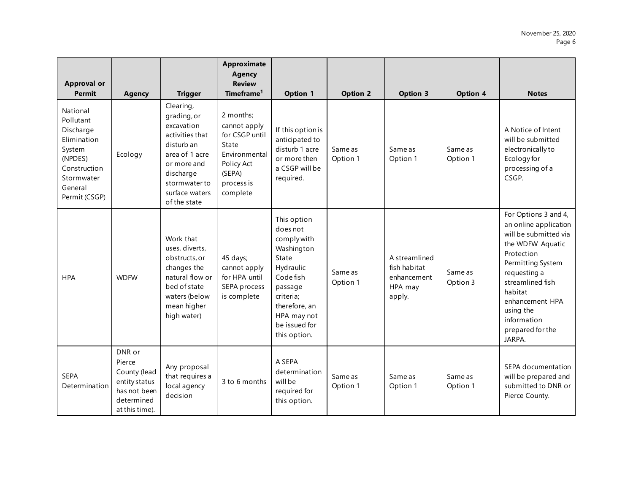| <b>Approval or</b><br><b>Permit</b>                                                                                              | <b>Agency</b>                                                                                     | <b>Trigger</b>                                                                                                                                                           | Approximate<br><b>Agency</b><br><b>Review</b><br>Timeframe <sup>1</sup>                                                 | <b>Option 1</b>                                                                                                                                                                  | <b>Option 2</b>     | <b>Option 3</b>                                                   | <b>Option 4</b>     | <b>Notes</b>                                                                                                                                                                                                                                              |
|----------------------------------------------------------------------------------------------------------------------------------|---------------------------------------------------------------------------------------------------|--------------------------------------------------------------------------------------------------------------------------------------------------------------------------|-------------------------------------------------------------------------------------------------------------------------|----------------------------------------------------------------------------------------------------------------------------------------------------------------------------------|---------------------|-------------------------------------------------------------------|---------------------|-----------------------------------------------------------------------------------------------------------------------------------------------------------------------------------------------------------------------------------------------------------|
| National<br>Pollutant<br>Discharge<br>Elimination<br>System<br>(NPDES)<br>Construction<br>Stormwater<br>General<br>Permit (CSGP) | Ecology                                                                                           | Clearing,<br>grading, or<br>excavation<br>activities that<br>disturb an<br>area of 1 acre<br>or more and<br>discharge<br>stormwater to<br>surface waters<br>of the state | 2 months;<br>cannot apply<br>for CSGP until<br>State<br>Environmental<br>Policy Act<br>(SEPA)<br>process is<br>complete | If this option is<br>anticipated to<br>disturb 1 acre<br>or more then<br>a CSGP will be<br>required.                                                                             | Same as<br>Option 1 | Same as<br>Option 1                                               | Same as<br>Option 1 | A Notice of Intent<br>will be submitted<br>electronically to<br>Ecology for<br>processing of a<br>CSGP.                                                                                                                                                   |
| <b>HPA</b>                                                                                                                       | <b>WDFW</b>                                                                                       | Work that<br>uses, diverts,<br>obstructs, or<br>changes the<br>natural flow or<br>bed of state<br>waters (below<br>mean higher<br>high water)                            | 45 days;<br>cannot apply<br>for HPA until<br>SEPA process<br>is complete                                                | This option<br>does not<br>comply with<br>Washington<br>State<br>Hydraulic<br>Code fish<br>passage<br>criteria;<br>therefore, an<br>HPA may not<br>be issued for<br>this option. | Same as<br>Option 1 | A streamlined<br>fish habitat<br>enhancement<br>HPA may<br>apply. | Same as<br>Option 3 | For Options 3 and 4,<br>an online application<br>will be submitted via<br>the WDFW Aquatic<br>Protection<br>Permitting System<br>requesting a<br>streamlined fish<br>habitat<br>enhancement HPA<br>using the<br>information<br>prepared for the<br>JARPA. |
| <b>SEPA</b><br>Determination                                                                                                     | DNR or<br>Pierce<br>County (lead<br>entity status<br>has not been<br>determined<br>at this time). | Any proposal<br>that requires a<br>local agency<br>decision                                                                                                              | 3 to 6 months                                                                                                           | A SEPA<br>determination<br>will be<br>required for<br>this option.                                                                                                               | Same as<br>Option 1 | Same as<br>Option 1                                               | Same as<br>Option 1 | SEPA documentation<br>will be prepared and<br>submitted to DNR or<br>Pierce County.                                                                                                                                                                       |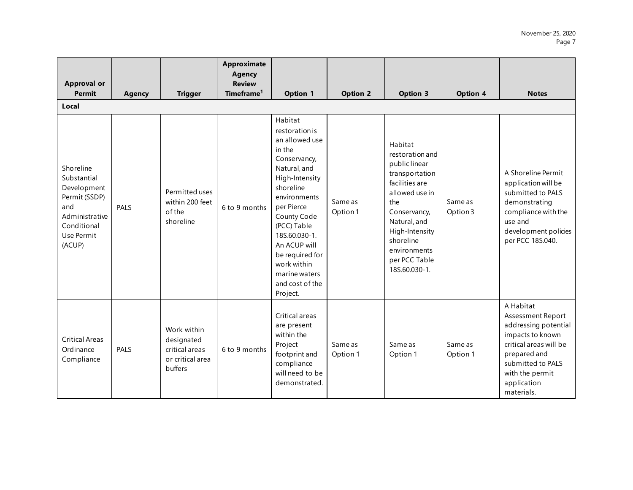| <b>Approval or</b><br><b>Permit</b>                                                                                      | <b>Agency</b> | <b>Trigger</b>                                                             | <b>Approximate</b><br><b>Agency</b><br><b>Review</b><br>Timeframe <sup>1</sup> | <b>Option 1</b>                                                                                                                                                                                                                                                                                     | <b>Option 2</b>     | Option 3                                                                                                                                                                                                                  | Option 4            | <b>Notes</b>                                                                                                                                                                              |
|--------------------------------------------------------------------------------------------------------------------------|---------------|----------------------------------------------------------------------------|--------------------------------------------------------------------------------|-----------------------------------------------------------------------------------------------------------------------------------------------------------------------------------------------------------------------------------------------------------------------------------------------------|---------------------|---------------------------------------------------------------------------------------------------------------------------------------------------------------------------------------------------------------------------|---------------------|-------------------------------------------------------------------------------------------------------------------------------------------------------------------------------------------|
| Local                                                                                                                    |               |                                                                            |                                                                                |                                                                                                                                                                                                                                                                                                     |                     |                                                                                                                                                                                                                           |                     |                                                                                                                                                                                           |
| Shoreline<br>Substantial<br>Development<br>Permit (SSDP)<br>and<br>Administrative<br>Conditional<br>Use Permit<br>(ACUP) | <b>PALS</b>   | Permitted uses<br>within 200 feet<br>of the<br>shoreline                   | 6 to 9 months                                                                  | Habitat<br>restoration is<br>an allowed use<br>in the<br>Conservancy,<br>Natural, and<br>High-Intensity<br>shoreline<br>environments<br>per Pierce<br>County Code<br>(PCC) Table<br>18S.60.030-1.<br>An ACUP will<br>be required for<br>work within<br>marine waters<br>and cost of the<br>Project. | Same as<br>Option 1 | Habitat<br>restoration and<br>public linear<br>transportation<br>facilities are<br>allowed use in<br>the<br>Conservancy,<br>Natural, and<br>High-Intensity<br>shoreline<br>environments<br>per PCC Table<br>18S.60.030-1. | Same as<br>Option 3 | A Shoreline Permit<br>application will be<br>submitted to PALS<br>demonstrating<br>compliance with the<br>use and<br>development policies<br>per PCC 18S.040.                             |
| <b>Critical Areas</b><br>Ordinance<br>Compliance                                                                         | PALS          | Work within<br>designated<br>critical areas<br>or critical area<br>buffers | 6 to 9 months                                                                  | Critical areas<br>are present<br>within the<br>Project<br>footprint and<br>compliance<br>will need to be<br>demonstrated.                                                                                                                                                                           | Same as<br>Option 1 | Same as<br>Option 1                                                                                                                                                                                                       | Same as<br>Option 1 | A Habitat<br>Assessment Report<br>addressing potential<br>impacts to known<br>critical areas will be<br>prepared and<br>submitted to PALS<br>with the permit<br>application<br>materials. |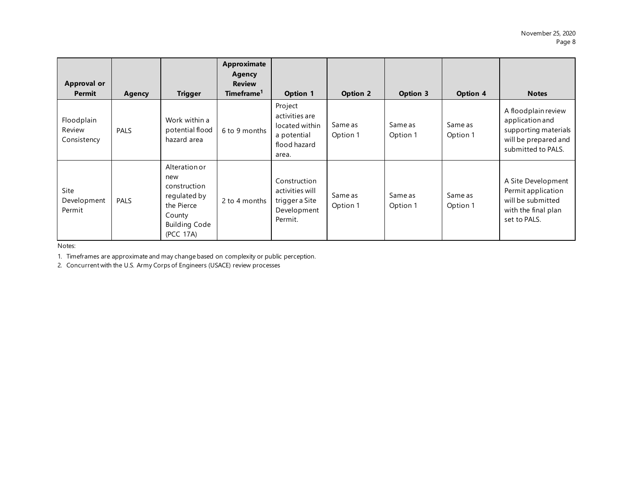| <b>Approval or</b><br><b>Permit</b> | Agency      | <b>Trigger</b>                                                                                                    | Approximate<br>Agency<br><b>Review</b><br>Timeframe <sup>1</sup> | <b>Option 1</b>                                                                     | <b>Option 2</b>     | <b>Option 3</b>     | <b>Option 4</b>     | <b>Notes</b>                                                                                                 |
|-------------------------------------|-------------|-------------------------------------------------------------------------------------------------------------------|------------------------------------------------------------------|-------------------------------------------------------------------------------------|---------------------|---------------------|---------------------|--------------------------------------------------------------------------------------------------------------|
| Floodplain<br>Review<br>Consistency | PALS        | Work within a<br>potential flood<br>hazard area                                                                   | 6 to 9 months                                                    | Project<br>activities are<br>located within<br>a potential<br>flood hazard<br>area. | Same as<br>Option 1 | Same as<br>Option 1 | Same as<br>Option 1 | A floodplain review<br>application and<br>supporting materials<br>will be prepared and<br>submitted to PALS. |
| Site<br>Development<br>Permit       | <b>PALS</b> | Alteration or<br>new<br>construction<br>regulated by<br>the Pierce<br>County<br><b>Building Code</b><br>(PCC 17A) | 2 to 4 months                                                    | Construction<br>activities will<br>trigger a Site<br>Development<br>Permit.         | Same as<br>Option 1 | Same as<br>Option 1 | Same as<br>Option 1 | A Site Development<br>Permit application<br>will be submitted<br>with the final plan<br>set to PALS.         |

Notes:

1. Timeframes are approximate and may change based on complexity or public perception.

2. Concurrent with the U.S. Army Corps of Engineers (USACE) review processes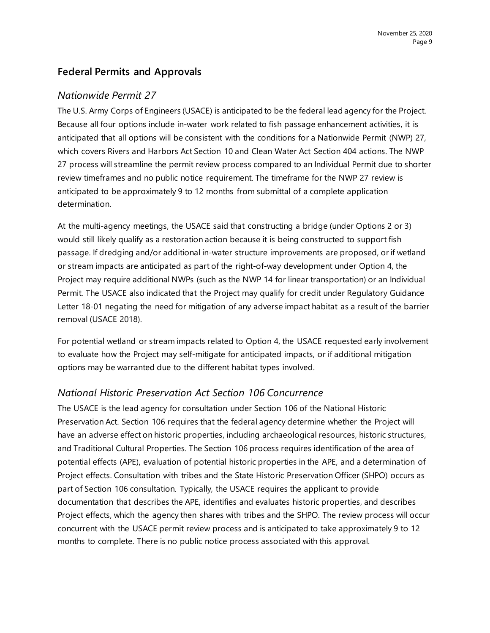#### **Federal Permits and Approvals**

#### *Nationwide Permit 27*

The U.S. Army Corps of Engineers (USACE) is anticipated to be the federal lead agency for the Project. Because all four options include in-water work related to fish passage enhancement activities, it is anticipated that all options will be consistent with the conditions for a Nationwide Permit (NWP) 27, which covers Rivers and Harbors Act Section 10 and Clean Water Act Section 404 actions. The NWP 27 process will streamline the permit review process compared to an Individual Permit due to shorter review timeframes and no public notice requirement. The timeframe for the NWP 27 review is anticipated to be approximately 9 to 12 months from submittal of a complete application determination.

At the multi-agency meetings, the USACE said that constructing a bridge (under Options 2 or 3) would still likely qualify as a restoration action because it is being constructed to support fish passage. If dredging and/or additional in-water structure improvements are proposed, or if wetland or stream impacts are anticipated as part of the right-of-way development under Option 4, the Project may require additional NWPs (such as the NWP 14 for linear transportation) or an Individual Permit. The USACE also indicated that the Project may qualify for credit under Regulatory Guidance Letter 18-01 negating the need for mitigation of any adverse impact habitat as a result of the barrier removal (USACE 2018).

For potential wetland or stream impacts related to Option 4, the USACE requested early involvement to evaluate how the Project may self-mitigate for anticipated impacts, or if additional mitigation options may be warranted due to the different habitat types involved.

#### *National Historic Preservation Act Section 106 Concurrence*

The USACE is the lead agency for consultation under Section 106 of the National Historic Preservation Act. Section 106 requires that the federal agency determine whether the Project will have an adverse effect on historic properties, including archaeological resources, historic structures, and Traditional Cultural Properties. The Section 106 process requires identification of the area of potential effects (APE), evaluation of potential historic properties in the APE, and a determination of Project effects. Consultation with tribes and the State Historic Preservation Officer (SHPO) occurs as part of Section 106 consultation. Typically, the USACE requires the applicant to provide documentation that describes the APE, identifies and evaluates historic properties, and describes Project effects, which the agency then shares with tribes and the SHPO. The review process will occur concurrent with the USACE permit review process and is anticipated to take approximately 9 to 12 months to complete. There is no public notice process associated with this approval.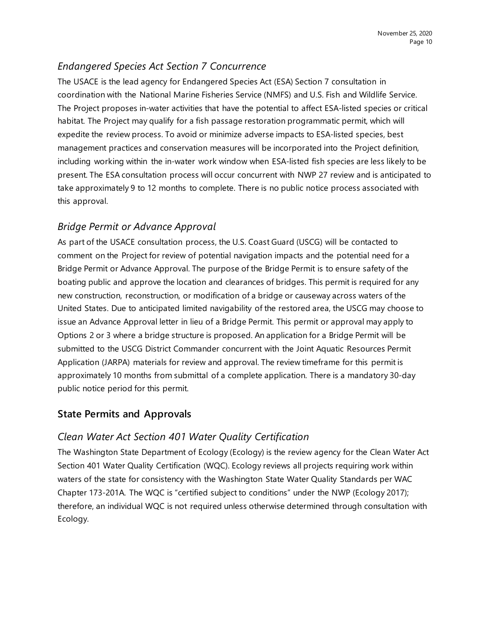## *Endangered Species Act Section 7 Concurrence*

The USACE is the lead agency for Endangered Species Act (ESA) Section 7 consultation in coordination with the National Marine Fisheries Service (NMFS) and U.S. Fish and Wildlife Service. The Project proposes in-water activities that have the potential to affect ESA-listed species or critical habitat. The Project may qualify for a fish passage restoration programmatic permit, which will expedite the review process. To avoid or minimize adverse impacts to ESA-listed species, best management practices and conservation measures will be incorporated into the Project definition, including working within the in-water work window when ESA-listed fish species are less likely to be present. The ESA consultation process will occur concurrent with NWP 27 review and is anticipated to take approximately 9 to 12 months to complete. There is no public notice process associated with this approval.

## *Bridge Permit or Advance Approval*

As part of the USACE consultation process, the U.S. Coast Guard (USCG) will be contacted to comment on the Project for review of potential navigation impacts and the potential need for a Bridge Permit or Advance Approval. The purpose of the Bridge Permit is to ensure safety of the boating public and approve the location and clearances of bridges. This permit is required for any new construction, reconstruction, or modification of a bridge or causeway across waters of the United States. Due to anticipated limited navigability of the restored area, the USCG may choose to issue an Advance Approval letter in lieu of a Bridge Permit. This permit or approval may apply to Options 2 or 3 where a bridge structure is proposed. An application for a Bridge Permit will be submitted to the USCG District Commander concurrent with the Joint Aquatic Resources Permit Application (JARPA) materials for review and approval. The review timeframe for this permit is approximately 10 months from submittal of a complete application. There is a mandatory 30-day public notice period for this permit.

## **State Permits and Approvals**

## *Clean Water Act Section 401 Water Quality Certification*

The Washington State Department of Ecology (Ecology) is the review agency for the Clean Water Act Section 401 Water Quality Certification (WQC). Ecology reviews all projects requiring work within waters of the state for consistency with the Washington State Water Quality Standards per WAC Chapter 173-201A. The WQC is "certified subject to conditions" under the NWP (Ecology 2017); therefore, an individual WQC is not required unless otherwise determined through consultation with Ecology.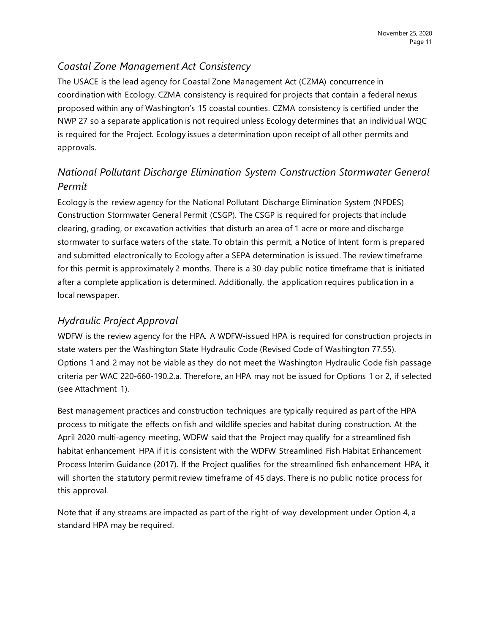## *Coastal Zone Management Act Consistency*

The USACE is the lead agency for Coastal Zone Management Act (CZMA) concurrence in coordination with Ecology. CZMA consistency is required for projects that contain a federal nexus proposed within any of Washington's 15 coastal counties. CZMA consistency is certified under the NWP 27 so a separate application is not required unless Ecology determines that an individual WQC is required for the Project. Ecology issues a determination upon receipt of all other permits and approvals.

# *National Pollutant Discharge Elimination System Construction Stormwater General Permit*

Ecology is the review agency for the National Pollutant Discharge Elimination System (NPDES) Construction Stormwater General Permit (CSGP). The CSGP is required for projects that include clearing, grading, or excavation activities that disturb an area of 1 acre or more and discharge stormwater to surface waters of the state. To obtain this permit, a Notice of Intent form is prepared and submitted electronically to Ecology after a SEPA determination is issued. The review timeframe for this permit is approximately 2 months. There is a 30-day public notice timeframe that is initiated after a complete application is determined. Additionally, the application requires publication in a local newspaper.

## *Hydraulic Project Approval*

WDFW is the review agency for the HPA. A WDFW-issued HPA is required for construction projects in state waters per the Washington State Hydraulic Code (Revised Code of Washington 77.55). Options 1 and 2 may not be viable as they do not meet the Washington Hydraulic Code fish passage criteria per WAC 220-660-190.2.a. Therefore, an HPA may not be issued for Options 1 or 2, if selected (see Attachment 1).

Best management practices and construction techniques are typically required as part of the HPA process to mitigate the effects on fish and wildlife species and habitat during construction. At the April 2020 multi-agency meeting, WDFW said that the Project may qualify for a streamlined fish habitat enhancement HPA if it is consistent with the WDFW Streamlined Fish Habitat Enhancement Process Interim Guidance (2017). If the Project qualifies for the streamlined fish enhancement HPA, it will shorten the statutory permit review timeframe of 45 days. There is no public notice process for this approval.

Note that if any streams are impacted as part of the right-of-way development under Option 4, a standard HPA may be required.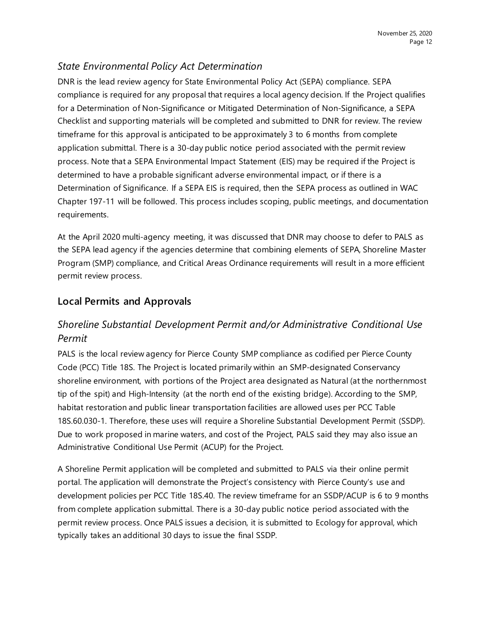## *State Environmental Policy Act Determination*

DNR is the lead review agency for State Environmental Policy Act (SEPA) compliance. SEPA compliance is required for any proposal that requires a local agency decision. If the Project qualifies for a Determination of Non-Significance or Mitigated Determination of Non-Significance, a SEPA Checklist and supporting materials will be completed and submitted to DNR for review. The review timeframe for this approval is anticipated to be approximately 3 to 6 months from complete application submittal. There is a 30-day public notice period associated with the permit review process. Note that a SEPA Environmental Impact Statement (EIS) may be required if the Project is determined to have a probable significant adverse environmental impact, or if there is a Determination of Significance. If a SEPA EIS is required, then the SEPA process as outlined in WAC Chapter 197-11 will be followed. This process includes scoping, public meetings, and documentation requirements.

At the April 2020 multi-agency meeting, it was discussed that DNR may choose to defer to PALS as the SEPA lead agency if the agencies determine that combining elements of SEPA, Shoreline Master Program (SMP) compliance, and Critical Areas Ordinance requirements will result in a more efficient permit review process.

#### **Local Permits and Approvals**

## *Shoreline Substantial Development Permit and/or Administrative Conditional Use Permit*

PALS is the local review agency for Pierce County SMP compliance as codified per Pierce County Code (PCC) Title 18S. The Project is located primarily within an SMP-designated Conservancy shoreline environment, with portions of the Project area designated as Natural (at the northernmost tip of the spit) and High-Intensity (at the north end of the existing bridge). According to the SMP, habitat restoration and public linear transportation facilities are allowed uses per PCC Table 18S.60.030-1. Therefore, these uses will require a Shoreline Substantial Development Permit (SSDP). Due to work proposed in marine waters, and cost of the Project, PALS said they may also issue an Administrative Conditional Use Permit (ACUP) for the Project.

A Shoreline Permit application will be completed and submitted to PALS via their online permit portal. The application will demonstrate the Project's consistency with Pierce County's use and development policies per PCC Title 18S.40. The review timeframe for an SSDP/ACUP is 6 to 9 months from complete application submittal. There is a 30-day public notice period associated with the permit review process. Once PALS issues a decision, it is submitted to Ecology for approval, which typically takes an additional 30 days to issue the final SSDP.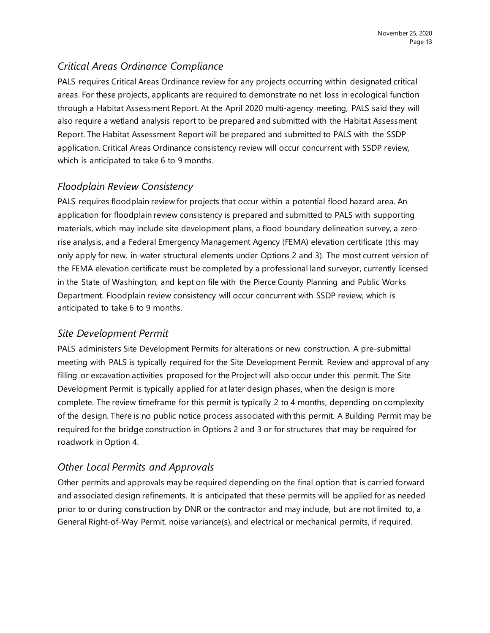## *Critical Areas Ordinance Compliance*

PALS requires Critical Areas Ordinance review for any projects occurring within designated critical areas. For these projects, applicants are required to demonstrate no net loss in ecological function through a Habitat Assessment Report. At the April 2020 multi-agency meeting, PALS said they will also require a wetland analysis report to be prepared and submitted with the Habitat Assessment Report. The Habitat Assessment Report will be prepared and submitted to PALS with the SSDP application. Critical Areas Ordinance consistency review will occur concurrent with SSDP review, which is anticipated to take 6 to 9 months.

## *Floodplain Review Consistency*

PALS requires floodplain review for projects that occur within a potential flood hazard area. An application for floodplain review consistency is prepared and submitted to PALS with supporting materials, which may include site development plans, a flood boundary delineation survey, a zerorise analysis, and a Federal Emergency Management Agency (FEMA) elevation certificate (this may only apply for new, in-water structural elements under Options 2 and 3). The most current version of the FEMA elevation certificate must be completed by a professional land surveyor, currently licensed in the State of Washington, and kept on file with the Pierce County Planning and Public Works Department. Floodplain review consistency will occur concurrent with SSDP review, which is anticipated to take 6 to 9 months.

#### *Site Development Permit*

PALS administers Site Development Permits for alterations or new construction. A pre-submittal meeting with PALS is typically required for the Site Development Permit. Review and approval of any filling or excavation activities proposed for the Project will also occur under this permit. The Site Development Permit is typically applied for at later design phases, when the design is more complete. The review timeframe for this permit is typically 2 to 4 months, depending on complexity of the design. There is no public notice process associated with this permit. A Building Permit may be required for the bridge construction in Options 2 and 3 or for structures that may be required for roadwork in Option 4.

## *Other Local Permits and Approvals*

Other permits and approvals may be required depending on the final option that is carried forward and associated design refinements. It is anticipated that these permits will be applied for as needed prior to or during construction by DNR or the contractor and may include, but are not limited to, a General Right-of-Way Permit, noise variance(s), and electrical or mechanical permits, if required.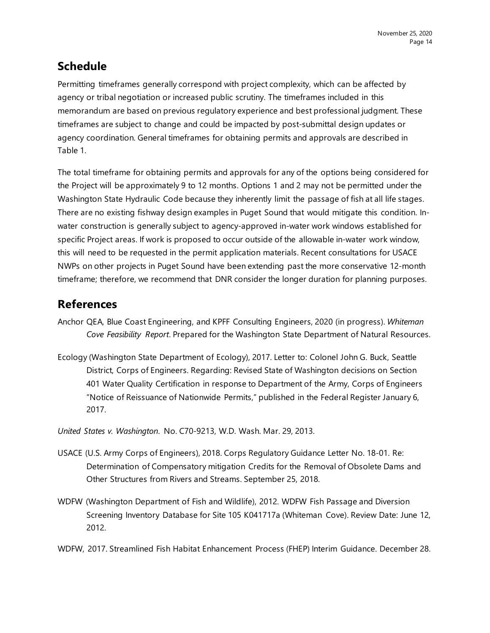# **Schedule**

Permitting timeframes generally correspond with project complexity, which can be affected by agency or tribal negotiation or increased public scrutiny. The timeframes included in this memorandum are based on previous regulatory experience and best professional judgment. These timeframes are subject to change and could be impacted by post-submittal design updates or agency coordination. General timeframes for obtaining permits and approvals are described in Table 1.

The total timeframe for obtaining permits and approvals for any of the options being considered for the Project will be approximately 9 to 12 months. Options 1 and 2 may not be permitted under the Washington State Hydraulic Code because they inherently limit the passage of fish at all life stages. There are no existing fishway design examples in Puget Sound that would mitigate this condition. Inwater construction is generally subject to agency-approved in-water work windows established for specific Project areas. If work is proposed to occur outside of the allowable in-water work window, this will need to be requested in the permit application materials. Recent consultations for USACE NWPs on other projects in Puget Sound have been extending past the more conservative 12-month timeframe; therefore, we recommend that DNR consider the longer duration for planning purposes.

# **References**

- Anchor QEA, Blue Coast Engineering, and KPFF Consulting Engineers, 2020 (in progress). *Whiteman Cove Feasibility Report*. Prepared for the Washington State Department of Natural Resources.
- Ecology (Washington State Department of Ecology), 2017. Letter to: Colonel John G. Buck, Seattle District, Corps of Engineers. Regarding: Revised State of Washington decisions on Section 401 Water Quality Certification in response to Department of the Army, Corps of Engineers "Notice of Reissuance of Nationwide Permits," published in the Federal Register January 6, 2017.

*United States v. Washington*. No. C70-9213, W.D. Wash. Mar. 29, 2013.

- USACE (U.S. Army Corps of Engineers), 2018. Corps Regulatory Guidance Letter No. 18-01. Re: Determination of Compensatory mitigation Credits for the Removal of Obsolete Dams and Other Structures from Rivers and Streams. September 25, 2018.
- WDFW (Washington Department of Fish and Wildlife), 2012. WDFW Fish Passage and Diversion Screening Inventory Database for Site 105 K041717a (Whiteman Cove). Review Date: June 12, 2012.

WDFW, 2017. Streamlined Fish Habitat Enhancement Process (FHEP) Interim Guidance. December 28.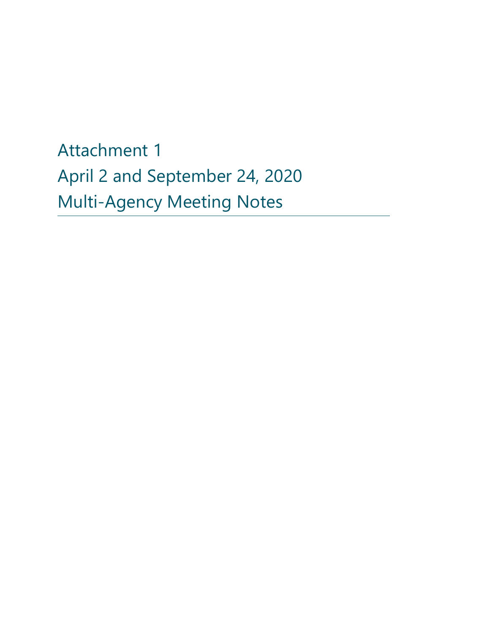Attachment 1 April 2 and September 24, 2020 Multi-Agency Meeting Notes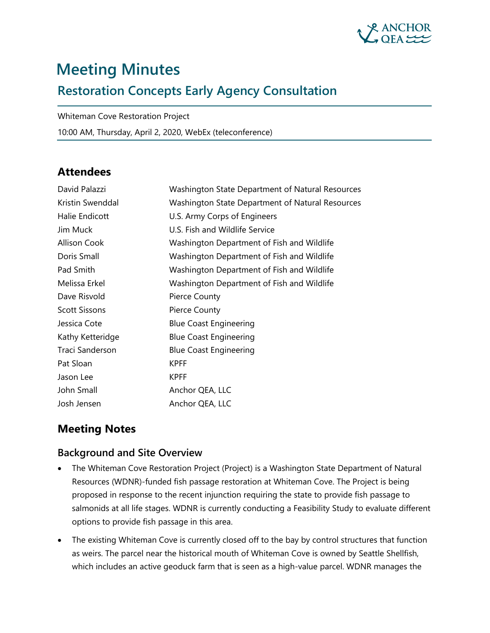

# **Meeting Minutes**

# **Restoration Concepts Early Agency Consultation**

Whiteman Cove Restoration Project

10:00 AM, Thursday, April 2, 2020, WebEx (teleconference)

## **Attendees**

| David Palazzi        | Washington State Department of Natural Resources |
|----------------------|--------------------------------------------------|
| Kristin Swenddal     | Washington State Department of Natural Resources |
| Halie Endicott       | U.S. Army Corps of Engineers                     |
| Jim Muck             | U.S. Fish and Wildlife Service                   |
| <b>Allison Cook</b>  | Washington Department of Fish and Wildlife       |
| Doris Small          | Washington Department of Fish and Wildlife       |
| Pad Smith            | Washington Department of Fish and Wildlife       |
| Melissa Erkel        | Washington Department of Fish and Wildlife       |
| Dave Risvold         | Pierce County                                    |
| <b>Scott Sissons</b> | Pierce County                                    |
| Jessica Cote         | <b>Blue Coast Engineering</b>                    |
| Kathy Ketteridge     | <b>Blue Coast Engineering</b>                    |
| Traci Sanderson      | <b>Blue Coast Engineering</b>                    |
| Pat Sloan            | <b>KPFF</b>                                      |
| Jason Lee            | <b>KPFF</b>                                      |
| John Small           | Anchor QEA, LLC                                  |
| Josh Jensen          | Anchor QEA, LLC                                  |

## **Meeting Notes**

#### **Background and Site Overview**

- The Whiteman Cove Restoration Project (Project) is a Washington State Department of Natural Resources (WDNR)-funded fish passage restoration at Whiteman Cove. The Project is being proposed in response to the recent injunction requiring the state to provide fish passage to salmonids at all life stages. WDNR is currently conducting a Feasibility Study to evaluate different options to provide fish passage in this area.
- The existing Whiteman Cove is currently closed off to the bay by control structures that function as weirs. The parcel near the historical mouth of Whiteman Cove is owned by Seattle Shellfish, which includes an active geoduck farm that is seen as a high-value parcel. WDNR manages the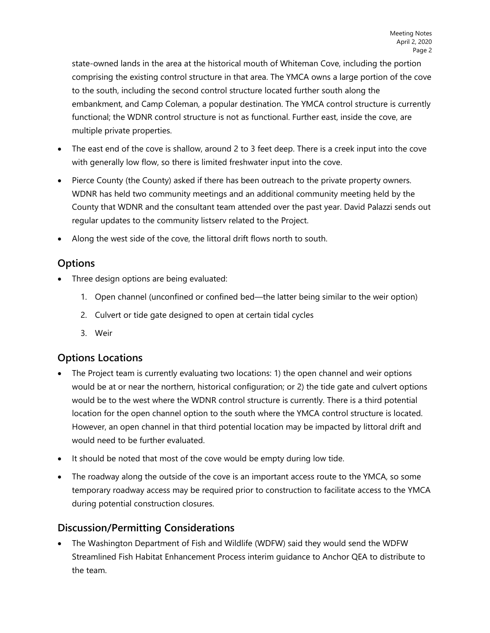state-owned lands in the area at the historical mouth of Whiteman Cove, including the portion comprising the existing control structure in that area. The YMCA owns a large portion of the cove to the south, including the second control structure located further south along the embankment, and Camp Coleman, a popular destination. The YMCA control structure is currently functional; the WDNR control structure is not as functional. Further east, inside the cove, are multiple private properties.

- The east end of the cove is shallow, around 2 to 3 feet deep. There is a creek input into the cove with generally low flow, so there is limited freshwater input into the cove.
- Pierce County (the County) asked if there has been outreach to the private property owners. WDNR has held two community meetings and an additional community meeting held by the County that WDNR and the consultant team attended over the past year. David Palazzi sends out regular updates to the community listserv related to the Project.
- Along the west side of the cove, the littoral drift flows north to south.

## **Options**

- Three design options are being evaluated:
	- 1. Open channel (unconfined or confined bed—the latter being similar to the weir option)
	- 2. Culvert or tide gate designed to open at certain tidal cycles
	- 3. Weir

## **Options Locations**

- The Project team is currently evaluating two locations: 1) the open channel and weir options would be at or near the northern, historical configuration; or 2) the tide gate and culvert options would be to the west where the WDNR control structure is currently. There is a third potential location for the open channel option to the south where the YMCA control structure is located. However, an open channel in that third potential location may be impacted by littoral drift and would need to be further evaluated.
- It should be noted that most of the cove would be empty during low tide.
- The roadway along the outside of the cove is an important access route to the YMCA, so some temporary roadway access may be required prior to construction to facilitate access to the YMCA during potential construction closures.

## **Discussion/Permitting Considerations**

• The Washington Department of Fish and Wildlife (WDFW) said they would send the WDFW Streamlined Fish Habitat Enhancement Process interim guidance to Anchor QEA to distribute to the team.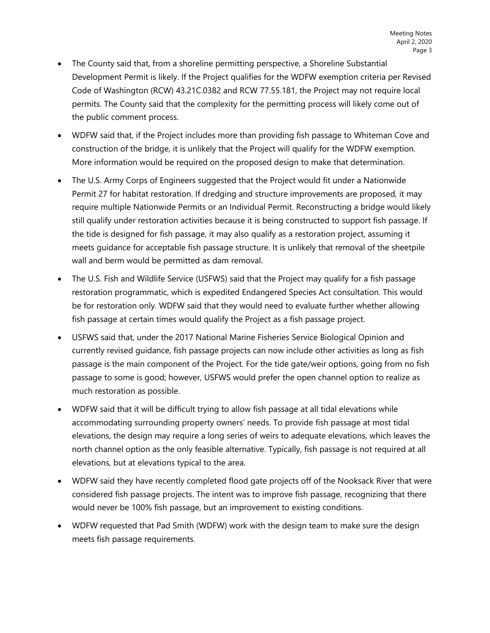- The County said that, from a shoreline permitting perspective, a Shoreline Substantial Development Permit is likely. If the Project qualifies for the WDFW exemption criteria per Revised Code of Washington (RCW) 43.21C.0382 and RCW 77.55.181, the Project may not require local permits. The County said that the complexity for the permitting process will likely come out of the public comment process.
- WDFW said that, if the Project includes more than providing fish passage to Whiteman Cove and construction of the bridge, it is unlikely that the Project will qualify for the WDFW exemption. More information would be required on the proposed design to make that determination.
- The U.S. Army Corps of Engineers suggested that the Project would fit under a Nationwide Permit 27 for habitat restoration. If dredging and structure improvements are proposed, it may require multiple Nationwide Permits or an Individual Permit. Reconstructing a bridge would likely still qualify under restoration activities because it is being constructed to support fish passage. If the tide is designed for fish passage, it may also qualify as a restoration project, assuming it meets guidance for acceptable fish passage structure. It is unlikely that removal of the sheetpile wall and berm would be permitted as dam removal.
- The U.S. Fish and Wildlife Service (USFWS) said that the Project may qualify for a fish passage restoration programmatic, which is expedited Endangered Species Act consultation. This would be for restoration only. WDFW said that they would need to evaluate further whether allowing fish passage at certain times would qualify the Project as a fish passage project.
- USFWS said that, under the 2017 National Marine Fisheries Service Biological Opinion and currently revised guidance, fish passage projects can now include other activities as long as fish passage is the main component of the Project. For the tide gate/weir options, going from no fish passage to some is good; however, USFWS would prefer the open channel option to realize as much restoration as possible.
- WDFW said that it will be difficult trying to allow fish passage at all tidal elevations while accommodating surrounding property owners' needs. To provide fish passage at most tidal elevations, the design may require a long series of weirs to adequate elevations, which leaves the north channel option as the only feasible alternative. Typically, fish passage is not required at all elevations, but at elevations typical to the area.
- WDFW said they have recently completed flood gate projects off of the Nooksack River that were considered fish passage projects. The intent was to improve fish passage, recognizing that there would never be 100% fish passage, but an improvement to existing conditions.
- WDFW requested that Pad Smith (WDFW) work with the design team to make sure the design meets fish passage requirements.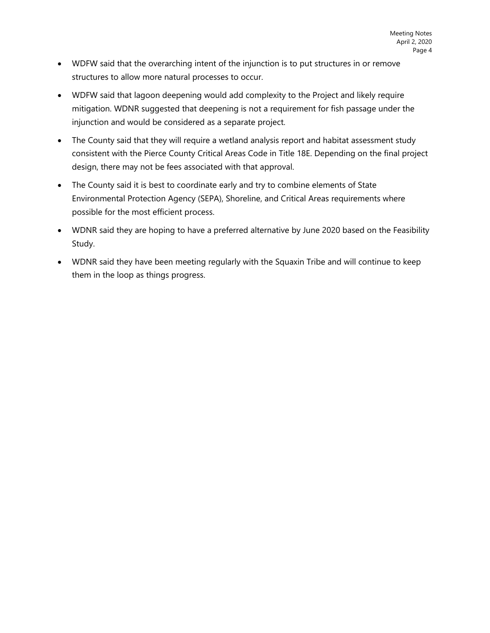- WDFW said that the overarching intent of the injunction is to put structures in or remove structures to allow more natural processes to occur.
- WDFW said that lagoon deepening would add complexity to the Project and likely require mitigation. WDNR suggested that deepening is not a requirement for fish passage under the injunction and would be considered as a separate project.
- The County said that they will require a wetland analysis report and habitat assessment study consistent with the Pierce County Critical Areas Code in Title 18E. Depending on the final project design, there may not be fees associated with that approval.
- The County said it is best to coordinate early and try to combine elements of State Environmental Protection Agency (SEPA), Shoreline, and Critical Areas requirements where possible for the most efficient process.
- WDNR said they are hoping to have a preferred alternative by June 2020 based on the Feasibility Study.
- WDNR said they have been meeting regularly with the Squaxin Tribe and will continue to keep them in the loop as things progress.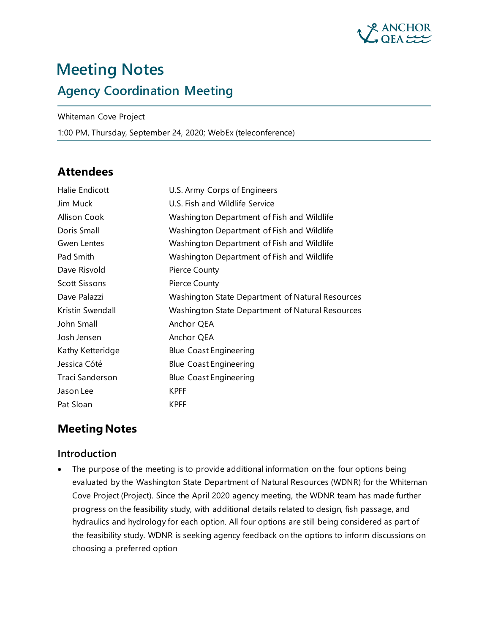

# **Meeting Notes Agency Coordination Meeting**

Whiteman Cove Project

1:00 PM, Thursday, September 24, 2020; WebEx (teleconference)

# **Attendees**

| Halie Endicott       | U.S. Army Corps of Engineers                     |
|----------------------|--------------------------------------------------|
| Jim Muck             | U.S. Fish and Wildlife Service                   |
| Allison Cook         | Washington Department of Fish and Wildlife       |
| Doris Small          | Washington Department of Fish and Wildlife       |
| Gwen Lentes          | Washington Department of Fish and Wildlife       |
| Pad Smith            | Washington Department of Fish and Wildlife       |
| Dave Risvold         | Pierce County                                    |
| <b>Scott Sissons</b> | Pierce County                                    |
| Dave Palazzi         | Washington State Department of Natural Resources |
| Kristin Swendall     | Washington State Department of Natural Resources |
| John Small           | Anchor QEA                                       |
| Josh Jensen          | Anchor QEA                                       |
| Kathy Ketteridge     | <b>Blue Coast Engineering</b>                    |
| Jessica Cóté         | <b>Blue Coast Engineering</b>                    |
| Traci Sanderson      | <b>Blue Coast Engineering</b>                    |
| Jason Lee            | <b>KPFF</b>                                      |
| Pat Sloan            | <b>KPFF</b>                                      |

## **Meeting Notes**

#### **Introduction**

• The purpose of the meeting is to provide additional information on the four options being evaluated by the Washington State Department of Natural Resources (WDNR) for the Whiteman Cove Project (Project). Since the April 2020 agency meeting, the WDNR team has made further progress on the feasibility study, with additional details related to design, fish passage, and hydraulics and hydrology for each option. All four options are still being considered as part of the feasibility study. WDNR is seeking agency feedback on the options to inform discussions on choosing a preferred option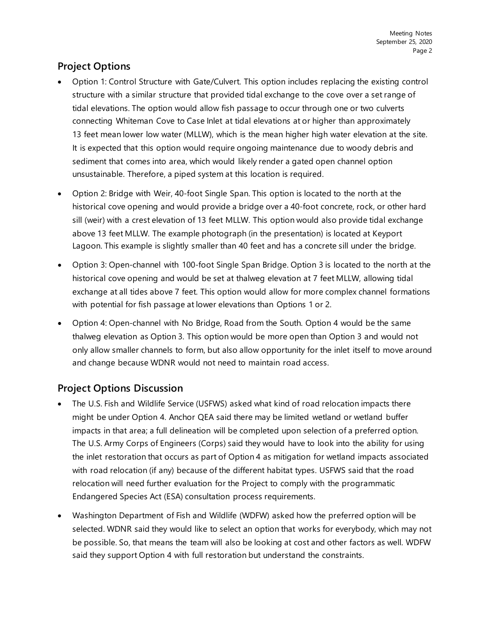## **Project Options**

- Option 1: Control Structure with Gate/Culvert. This option includes replacing the existing control structure with a similar structure that provided tidal exchange to the cove over a set range of tidal elevations. The option would allow fish passage to occur through one or two culverts connecting Whiteman Cove to Case Inlet at tidal elevations at or higher than approximately 13 feet mean lower low water (MLLW), which is the mean higher high water elevation at the site. It is expected that this option would require ongoing maintenance due to woody debris and sediment that comes into area, which would likely render a gated open channel option unsustainable. Therefore, a piped system at this location is required.
- Option 2: Bridge with Weir, 40-foot Single Span. This option is located to the north at the historical cove opening and would provide a bridge over a 40-foot concrete, rock, or other hard sill (weir) with a crest elevation of 13 feet MLLW. This option would also provide tidal exchange above 13 feet MLLW. The example photograph (in the presentation) is located at Keyport Lagoon. This example is slightly smaller than 40 feet and has a concrete sill under the bridge.
- Option 3: Open-channel with 100-foot Single Span Bridge. Option 3 is located to the north at the historical cove opening and would be set at thalweg elevation at 7 feet MLLW, allowing tidal exchange at all tides above 7 feet. This option would allow for more complex channel formations with potential for fish passage at lower elevations than Options 1 or 2.
- Option 4: Open-channel with No Bridge, Road from the South. Option 4 would be the same thalweg elevation as Option 3. This option would be more open than Option 3 and would not only allow smaller channels to form, but also allow opportunity for the inlet itself to move around and change because WDNR would not need to maintain road access.

## **Project Options Discussion**

- The U.S. Fish and Wildlife Service (USFWS) asked what kind of road relocation impacts there might be under Option 4. Anchor QEA said there may be limited wetland or wetland buffer impacts in that area; a full delineation will be completed upon selection of a preferred option. The U.S. Army Corps of Engineers (Corps) said they would have to look into the ability for using the inlet restoration that occurs as part of Option 4 as mitigation for wetland impacts associated with road relocation (if any) because of the different habitat types. USFWS said that the road relocation will need further evaluation for the Project to comply with the programmatic Endangered Species Act (ESA) consultation process requirements.
- Washington Department of Fish and Wildlife (WDFW) asked how the preferred option will be selected. WDNR said they would like to select an option that works for everybody, which may not be possible. So, that means the team will also be looking at cost and other factors as well. WDFW said they support Option 4 with full restoration but understand the constraints.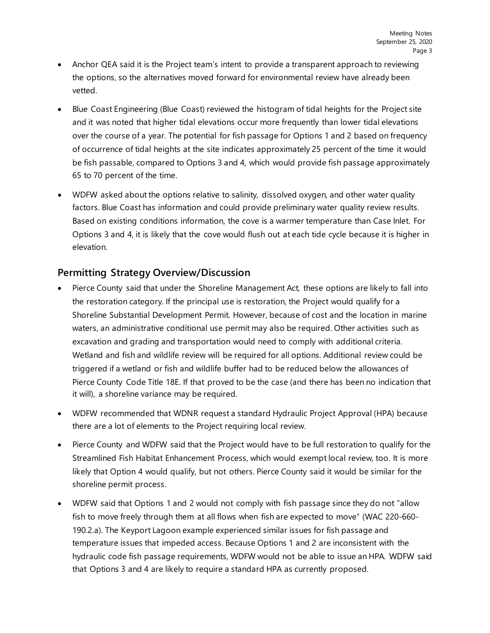- Anchor QEA said it is the Project team's intent to provide a transparent approach to reviewing the options, so the alternatives moved forward for environmental review have already been vetted.
- Blue Coast Engineering (Blue Coast) reviewed the histogram of tidal heights for the Project site and it was noted that higher tidal elevations occur more frequently than lower tidal elevations over the course of a year. The potential for fish passage for Options 1 and 2 based on frequency of occurrence of tidal heights at the site indicates approximately 25 percent of the time it would be fish passable, compared to Options 3 and 4, which would provide fish passage approximately 65 to 70 percent of the time.
- WDFW asked about the options relative to salinity, dissolved oxygen, and other water quality factors. Blue Coast has information and could provide preliminary water quality review results. Based on existing conditions information, the cove is a warmer temperature than Case Inlet. For Options 3 and 4, it is likely that the cove would flush out at each tide cycle because it is higher in elevation.

#### **Permitting Strategy Overview/Discussion**

- Pierce County said that under the Shoreline Management Act, these options are likely to fall into the restoration category. If the principal use is restoration, the Project would qualify for a Shoreline Substantial Development Permit. However, because of cost and the location in marine waters, an administrative conditional use permit may also be required. Other activities such as excavation and grading and transportation would need to comply with additional criteria. Wetland and fish and wildlife review will be required for all options. Additional review could be triggered if a wetland or fish and wildlife buffer had to be reduced below the allowances of Pierce County Code Title 18E. If that proved to be the case (and there has been no indication that it will), a shoreline variance may be required.
- WDFW recommended that WDNR request a standard Hydraulic Project Approval (HPA) because there are a lot of elements to the Project requiring local review.
- Pierce County and WDFW said that the Project would have to be full restoration to qualify for the Streamlined Fish Habitat Enhancement Process, which would exempt local review, too. It is more likely that Option 4 would qualify, but not others. Pierce County said it would be similar for the shoreline permit process.
- WDFW said that Options 1 and 2 would not comply with fish passage since they do not "allow fish to move freely through them at all flows when fish are expected to move" (WAC 220-660- 190.2.a). The Keyport Lagoon example experienced similar issues for fish passage and temperature issues that impeded access. Because Options 1 and 2 are inconsistent with the hydraulic code fish passage requirements, WDFW would not be able to issue an HPA. WDFW said that Options 3 and 4 are likely to require a standard HPA as currently proposed.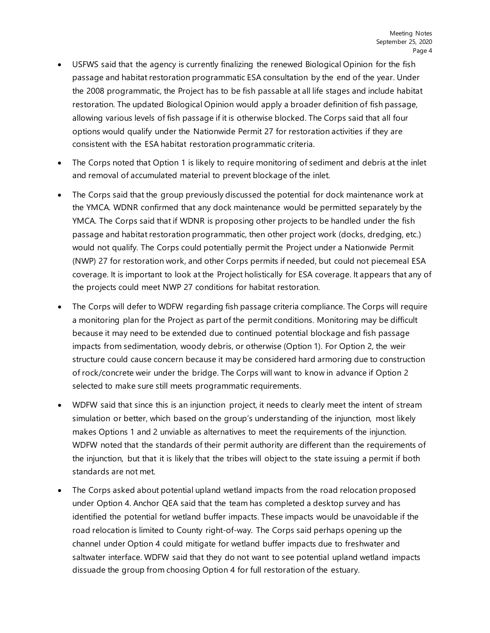- USFWS said that the agency is currently finalizing the renewed Biological Opinion for the fish passage and habitat restoration programmatic ESA consultation by the end of the year. Under the 2008 programmatic, the Project has to be fish passable at all life stages and include habitat restoration. The updated Biological Opinion would apply a broader definition of fish passage, allowing various levels of fish passage if it is otherwise blocked. The Corps said that all four options would qualify under the Nationwide Permit 27 for restoration activities if they are consistent with the ESA habitat restoration programmatic criteria.
- The Corps noted that Option 1 is likely to require monitoring of sediment and debris at the inlet and removal of accumulated material to prevent blockage of the inlet.
- The Corps said that the group previously discussed the potential for dock maintenance work at the YMCA. WDNR confirmed that any dock maintenance would be permitted separately by the YMCA. The Corps said that if WDNR is proposing other projects to be handled under the fish passage and habitat restoration programmatic, then other project work (docks, dredging, etc.) would not qualify. The Corps could potentially permit the Project under a Nationwide Permit (NWP) 27 for restoration work, and other Corps permits if needed, but could not piecemeal ESA coverage. It is important to look at the Project holistically for ESA coverage. It appears that any of the projects could meet NWP 27 conditions for habitat restoration.
- The Corps will defer to WDFW regarding fish passage criteria compliance. The Corps will require a monitoring plan for the Project as part of the permit conditions. Monitoring may be difficult because it may need to be extended due to continued potential blockage and fish passage impacts from sedimentation, woody debris, or otherwise (Option 1). For Option 2, the weir structure could cause concern because it may be considered hard armoring due to construction of rock/concrete weir under the bridge. The Corps will want to know in advance if Option 2 selected to make sure still meets programmatic requirements.
- WDFW said that since this is an injunction project, it needs to clearly meet the intent of stream simulation or better, which based on the group's understanding of the injunction, most likely makes Options 1 and 2 unviable as alternatives to meet the requirements of the injunction. WDFW noted that the standards of their permit authority are different than the requirements of the injunction, but that it is likely that the tribes will object to the state issuing a permit if both standards are not met.
- The Corps asked about potential upland wetland impacts from the road relocation proposed under Option 4. Anchor QEA said that the team has completed a desktop survey and has identified the potential for wetland buffer impacts. These impacts would be unavoidable if the road relocation is limited to County right-of-way. The Corps said perhaps opening up the channel under Option 4 could mitigate for wetland buffer impacts due to freshwater and saltwater interface. WDFW said that they do not want to see potential upland wetland impacts dissuade the group from choosing Option 4 for full restoration of the estuary.